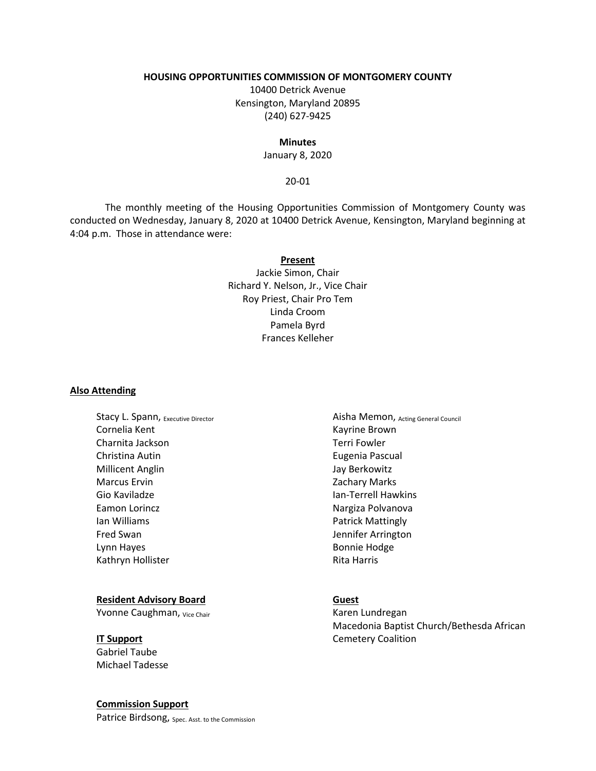#### **HOUSING OPPORTUNITIES COMMISSION OF MONTGOMERY COUNTY**

10400 Detrick Avenue Kensington, Maryland 20895 (240) 627-9425

#### **Minutes**

January 8, 2020

#### 20-01

The monthly meeting of the Housing Opportunities Commission of Montgomery County was conducted on Wednesday, January 8, 2020 at 10400 Detrick Avenue, Kensington, Maryland beginning at 4:04 p.m. Those in attendance were:

#### **Present**

Jackie Simon, Chair Richard Y. Nelson, Jr., Vice Chair Roy Priest, Chair Pro Tem Linda Croom Pamela Byrd Frances Kelleher

#### **Also Attending**

Stacy L. Spann, Executive Director Cornelia Kent Charnita Jackson Christina Autin Millicent Anglin Marcus Ervin Gio Kaviladze Eamon Lorincz Ian Williams Fred Swan Lynn Hayes Kathryn Hollister

#### **Resident Advisory Board**

Yvonne Caughman, Vice Chair

# **IT Support**

Gabriel Taube Michael Tadesse

#### **Commission Support**

Patrice Birdsong, Spec. Asst. to the Commission

Aisha Memon, Acting General Council Kayrine Brown Terri Fowler Eugenia Pascual Jay Berkowitz Zachary Marks Ian-Terrell Hawkins Nargiza Polvanova Patrick Mattingly Jennifer Arrington Bonnie Hodge Rita Harris

# **Guest**

Karen Lundregan Macedonia Baptist Church/Bethesda African Cemetery Coalition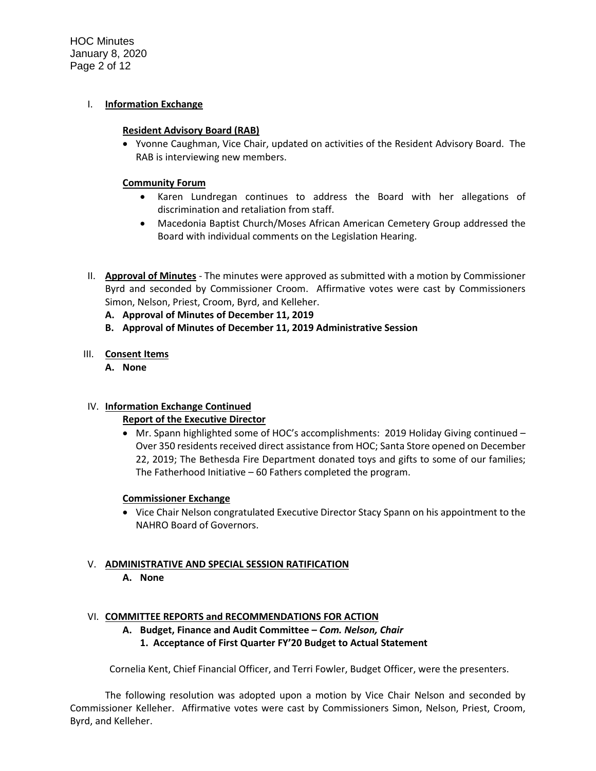HOC Minutes January 8, 2020 Page 2 of 12

#### I. **Information Exchange**

#### **Resident Advisory Board (RAB)**

• Yvonne Caughman, Vice Chair, updated on activities of the Resident Advisory Board. The RAB is interviewing new members.

#### **Community Forum**

- Karen Lundregan continues to address the Board with her allegations of discrimination and retaliation from staff.
- Macedonia Baptist Church/Moses African American Cemetery Group addressed the Board with individual comments on the Legislation Hearing.
- II. **Approval of Minutes** The minutes were approved as submitted with a motion by Commissioner Byrd and seconded by Commissioner Croom. Affirmative votes were cast by Commissioners Simon, Nelson, Priest, Croom, Byrd, and Kelleher.
	- **A. Approval of Minutes of December 11, 2019**
	- **B. Approval of Minutes of December 11, 2019 Administrative Session**

#### III. **Consent Items**

**A. None**

#### IV. **Information Exchange Continued**

#### **Report of the Executive Director**

• Mr. Spann highlighted some of HOC's accomplishments: 2019 Holiday Giving continued – Over 350 residents received direct assistance from HOC; Santa Store opened on December 22, 2019; The Bethesda Fire Department donated toys and gifts to some of our families; The Fatherhood Initiative – 60 Fathers completed the program.

#### **Commissioner Exchange**

• Vice Chair Nelson congratulated Executive Director Stacy Spann on his appointment to the NAHRO Board of Governors.

#### V. **ADMINISTRATIVE AND SPECIAL SESSION RATIFICATION A. None**

#### VI. **COMMITTEE REPORTS and RECOMMENDATIONS FOR ACTION**

- **A. Budget, Finance and Audit Committee –** *Com. Nelson, Chair*
	- **1. Acceptance of First Quarter FY'20 Budget to Actual Statement**

Cornelia Kent, Chief Financial Officer, and Terri Fowler, Budget Officer, were the presenters.

The following resolution was adopted upon a motion by Vice Chair Nelson and seconded by Commissioner Kelleher. Affirmative votes were cast by Commissioners Simon, Nelson, Priest, Croom, Byrd, and Kelleher.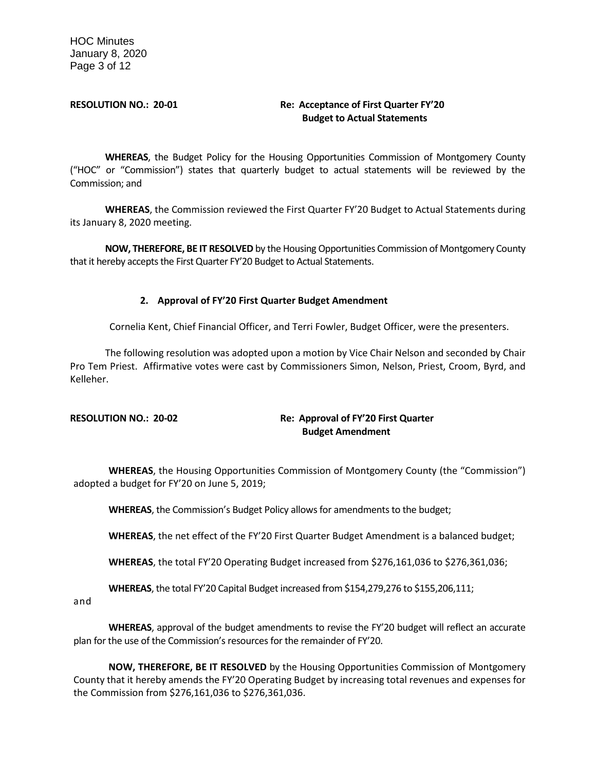# **RESOLUTION NO.: 20-01 Re: Acceptance of First Quarter FY'20 Budget to Actual Statements**

**WHEREAS**, the Budget Policy for the Housing Opportunities Commission of Montgomery County ("HOC" or "Commission") states that quarterly budget to actual statements will be reviewed by the Commission; and

**WHEREAS**, the Commission reviewed the First Quarter FY'20 Budget to Actual Statements during its January 8, 2020 meeting.

**NOW, THEREFORE, BE IT RESOLVED** by the Housing Opportunities Commission of Montgomery County that it hereby accepts the First Quarter FY'20 Budget to Actual Statements.

# **2. Approval of FY'20 First Quarter Budget Amendment**

Cornelia Kent, Chief Financial Officer, and Terri Fowler, Budget Officer, were the presenters.

The following resolution was adopted upon a motion by Vice Chair Nelson and seconded by Chair Pro Tem Priest. Affirmative votes were cast by Commissioners Simon, Nelson, Priest, Croom, Byrd, and Kelleher.

# **RESOLUTION NO.: 20-02 Re: Approval of FY'20 First Quarter Budget Amendment**

**WHEREAS**, the Housing Opportunities Commission of Montgomery County (the "Commission") adopted a budget for FY'20 on June 5, 2019;

**WHEREAS**, the Commission's Budget Policy allows for amendments to the budget;

**WHEREAS**, the net effect of the FY'20 First Quarter Budget Amendment is a balanced budget;

**WHEREAS**, the total FY'20 Operating Budget increased from \$276,161,036 to \$276,361,036;

**WHEREAS**, the total FY'20 Capital Budget increased from \$154,279,276 to \$155,206,111;

and

**WHEREAS**, approval of the budget amendments to revise the FY'20 budget will reflect an accurate plan for the use of the Commission's resources for the remainder of FY'20.

**NOW, THEREFORE, BE IT RESOLVED** by the Housing Opportunities Commission of Montgomery County that it hereby amends the FY'20 Operating Budget by increasing total revenues and expenses for the Commission from \$276,161,036 to \$276,361,036.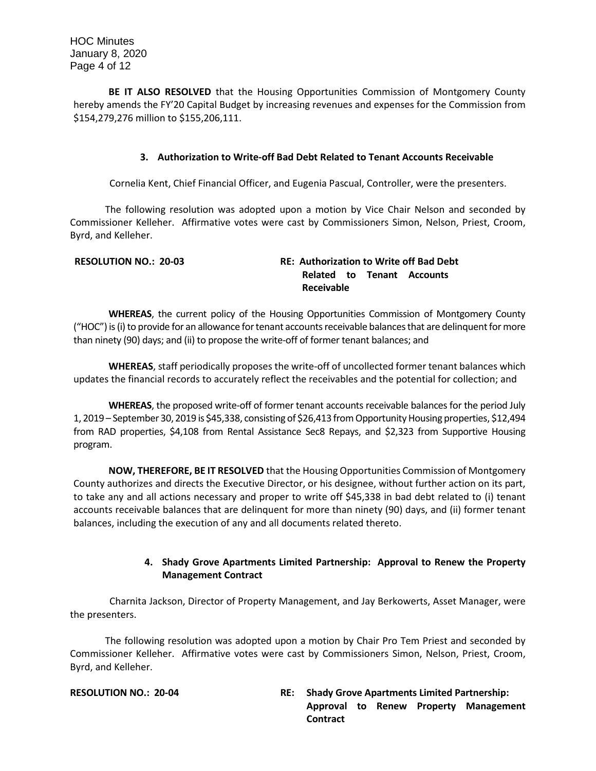**BE IT ALSO RESOLVED** that the Housing Opportunities Commission of Montgomery County hereby amends the FY'20 Capital Budget by increasing revenues and expenses for the Commission from \$154,279,276 million to \$155,206,111.

#### **3. Authorization to Write-off Bad Debt Related to Tenant Accounts Receivable**

Cornelia Kent, Chief Financial Officer, and Eugenia Pascual, Controller, were the presenters.

The following resolution was adopted upon a motion by Vice Chair Nelson and seconded by Commissioner Kelleher. Affirmative votes were cast by Commissioners Simon, Nelson, Priest, Croom, Byrd, and Kelleher.

| <b>RESOLUTION NO.: 20-03</b> | <b>RE: Authorization to Write off Bad Debt</b> |
|------------------------------|------------------------------------------------|
|                              | Related to Tenant Accounts                     |
|                              | Receivable                                     |

**WHEREAS**, the current policy of the Housing Opportunities Commission of Montgomery County ("HOC") is (i) to provide for an allowance for tenant accounts receivable balances that are delinquent for more than ninety (90) days; and (ii) to propose the write-off of former tenant balances; and

**WHEREAS**, staff periodically proposes the write-off of uncollected former tenant balances which updates the financial records to accurately reflect the receivables and the potential for collection; and

**WHEREAS**, the proposed write-off of former tenant accounts receivable balances for the period July 1, 2019 – September 30, 2019 is \$45,338, consisting of \$26,413 from Opportunity Housing properties, \$12,494 from RAD properties, \$4,108 from Rental Assistance Sec8 Repays, and \$2,323 from Supportive Housing program.

**NOW, THEREFORE, BE IT RESOLVED** that the Housing Opportunities Commission of Montgomery County authorizes and directs the Executive Director, or his designee, without further action on its part, to take any and all actions necessary and proper to write off \$45,338 in bad debt related to (i) tenant accounts receivable balances that are delinquent for more than ninety (90) days, and (ii) former tenant balances, including the execution of any and all documents related thereto.

# **4. Shady Grove Apartments Limited Partnership: Approval to Renew the Property Management Contract**

Charnita Jackson, Director of Property Management, and Jay Berkowerts, Asset Manager, were the presenters.

The following resolution was adopted upon a motion by Chair Pro Tem Priest and seconded by Commissioner Kelleher. Affirmative votes were cast by Commissioners Simon, Nelson, Priest, Croom, Byrd, and Kelleher.

#### **RESOLUTION NO.: 20-04 RE: Shady Grove Apartments Limited Partnership: Approval to Renew Property Management Contract**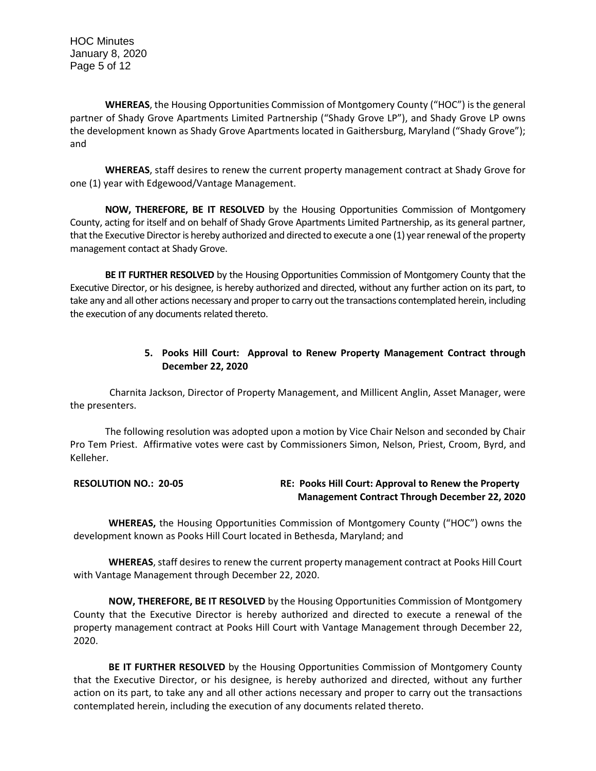HOC Minutes January 8, 2020 Page 5 of 12

**WHEREAS**, the Housing Opportunities Commission of Montgomery County ("HOC") is the general partner of Shady Grove Apartments Limited Partnership ("Shady Grove LP"), and Shady Grove LP owns the development known as Shady Grove Apartments located in Gaithersburg, Maryland ("Shady Grove"); and

**WHEREAS**, staff desires to renew the current property management contract at Shady Grove for one (1) year with Edgewood/Vantage Management.

**NOW, THEREFORE, BE IT RESOLVED** by the Housing Opportunities Commission of Montgomery County, acting for itself and on behalf of Shady Grove Apartments Limited Partnership, as its general partner, that the Executive Director is hereby authorized and directed to execute a one (1) year renewal of the property management contact at Shady Grove.

**BE IT FURTHER RESOLVED** by the Housing Opportunities Commission of Montgomery County that the Executive Director, or his designee, is hereby authorized and directed, without any further action on its part, to take any and all other actions necessary and proper to carry out the transactions contemplated herein, including the execution of any documents related thereto.

# **5. Pooks Hill Court: Approval to Renew Property Management Contract through December 22, 2020**

Charnita Jackson, Director of Property Management, and Millicent Anglin, Asset Manager, were the presenters.

The following resolution was adopted upon a motion by Vice Chair Nelson and seconded by Chair Pro Tem Priest. Affirmative votes were cast by Commissioners Simon, Nelson, Priest, Croom, Byrd, and Kelleher.

# **RESOLUTION NO.: 20-05 RE: Pooks Hill Court: Approval to Renew the Property Management Contract Through December 22, 2020**

**WHEREAS,** the Housing Opportunities Commission of Montgomery County ("HOC") owns the development known as Pooks Hill Court located in Bethesda, Maryland; and

**WHEREAS**, staff desires to renew the current property management contract at Pooks Hill Court with Vantage Management through December 22, 2020.

**NOW, THEREFORE, BE IT RESOLVED** by the Housing Opportunities Commission of Montgomery County that the Executive Director is hereby authorized and directed to execute a renewal of the property management contract at Pooks Hill Court with Vantage Management through December 22, 2020.

**BE IT FURTHER RESOLVED** by the Housing Opportunities Commission of Montgomery County that the Executive Director, or his designee, is hereby authorized and directed, without any further action on its part, to take any and all other actions necessary and proper to carry out the transactions contemplated herein, including the execution of any documents related thereto.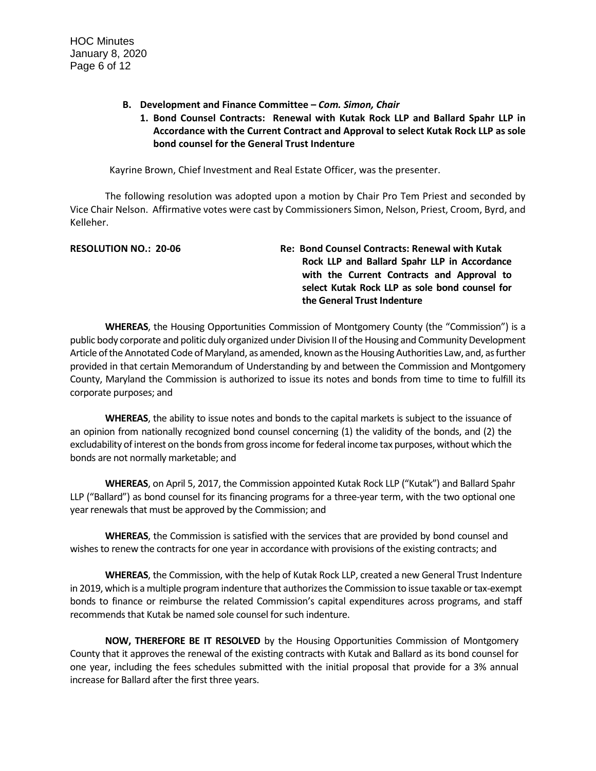**B. Development and Finance Committee –** *Com. Simon, Chair*

# **1. Bond Counsel Contracts: Renewal with Kutak Rock LLP and Ballard Spahr LLP in Accordance with the Current Contract and Approval to select Kutak Rock LLP as sole bond counsel for the General Trust Indenture**

Kayrine Brown, Chief Investment and Real Estate Officer, was the presenter.

The following resolution was adopted upon a motion by Chair Pro Tem Priest and seconded by Vice Chair Nelson. Affirmative votes were cast by Commissioners Simon, Nelson, Priest, Croom, Byrd, and Kelleher.

| <b>RESOLUTION NO.: 20-06</b> | Re: Bond Counsel Contracts: Renewal with Kutak |
|------------------------------|------------------------------------------------|
|                              | Rock LLP and Ballard Spahr LLP in Accordance   |
|                              | with the Current Contracts and Approval to     |
|                              | select Kutak Rock LLP as sole bond counsel for |
|                              | the General Trust Indenture                    |

**WHEREAS**, the Housing Opportunities Commission of Montgomery County (the "Commission") is a public body corporate and politic duly organized under Division II of the Housing and Community Development Article of the Annotated Code of Maryland, as amended, known as the Housing Authorities Law, and, as further provided in that certain Memorandum of Understanding by and between the Commission and Montgomery County, Maryland the Commission is authorized to issue its notes and bonds from time to time to fulfill its corporate purposes; and

**WHEREAS**, the ability to issue notes and bonds to the capital markets is subject to the issuance of an opinion from nationally recognized bond counsel concerning (1) the validity of the bonds, and (2) the excludability of interest on the bonds from gross income for federal income tax purposes, without which the bonds are not normally marketable; and

**WHEREAS**, on April 5, 2017, the Commission appointed Kutak Rock LLP ("Kutak") and Ballard Spahr LLP ("Ballard") as bond counsel for its financing programs for a three-year term, with the two optional one year renewals that must be approved by the Commission; and

**WHEREAS**, the Commission is satisfied with the services that are provided by bond counsel and wishes to renew the contracts for one year in accordance with provisions of the existing contracts; and

**WHEREAS**, the Commission, with the help of Kutak Rock LLP, created a new General Trust Indenture in 2019, which is a multiple program indenture that authorizes the Commission to issue taxable or tax-exempt bonds to finance or reimburse the related Commission's capital expenditures across programs, and staff recommends that Kutak be named sole counsel for such indenture.

**NOW, THEREFORE BE IT RESOLVED** by the Housing Opportunities Commission of Montgomery County that it approves the renewal of the existing contracts with Kutak and Ballard as its bond counsel for one year, including the fees schedules submitted with the initial proposal that provide for a 3% annual increase for Ballard after the first three years.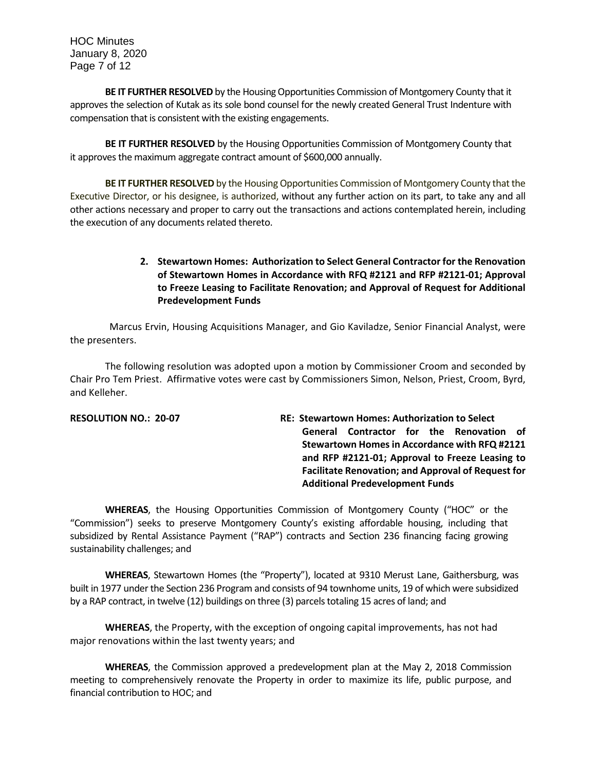HOC Minutes January 8, 2020 Page 7 of 12

**BE IT FURTHER RESOLVED** by the Housing Opportunities Commission of Montgomery County that it approves the selection of Kutak as its sole bond counsel for the newly created General Trust Indenture with compensation that is consistent with the existing engagements.

**BE IT FURTHER RESOLVED** by the Housing Opportunities Commission of Montgomery County that it approves the maximum aggregate contract amount of \$600,000 annually.

**BE IT FURTHER RESOLVED** by the Housing Opportunities Commission of Montgomery County that the Executive Director, or his designee, is authorized, without any further action on its part, to take any and all other actions necessary and proper to carry out the transactions and actions contemplated herein, including the execution of any documents related thereto.

# **2. Stewartown Homes: Authorization to Select General Contractor for the Renovation of Stewartown Homes in Accordance with RFQ #2121 and RFP #2121-01; Approval to Freeze Leasing to Facilitate Renovation; and Approval of Request for Additional Predevelopment Funds**

Marcus Ervin, Housing Acquisitions Manager, and Gio Kaviladze, Senior Financial Analyst, were the presenters.

The following resolution was adopted upon a motion by Commissioner Croom and seconded by Chair Pro Tem Priest. Affirmative votes were cast by Commissioners Simon, Nelson, Priest, Croom, Byrd, and Kelleher.

| <b>RESOLUTION NO.: 20-07</b> | <b>RE: Stewartown Homes: Authorization to Select</b>      |
|------------------------------|-----------------------------------------------------------|
|                              | General Contractor for the Renovation of                  |
|                              | Stewartown Homes in Accordance with RFQ #2121             |
|                              | and RFP #2121-01; Approval to Freeze Leasing to           |
|                              | <b>Facilitate Renovation; and Approval of Request for</b> |
|                              | <b>Additional Predevelopment Funds</b>                    |

**WHEREAS**, the Housing Opportunities Commission of Montgomery County ("HOC" or the "Commission") seeks to preserve Montgomery County's existing affordable housing, including that subsidized by Rental Assistance Payment ("RAP") contracts and Section 236 financing facing growing sustainability challenges; and

**WHEREAS**, Stewartown Homes (the "Property"), located at 9310 Merust Lane, Gaithersburg, was built in 1977 under the Section 236 Program and consists of 94 townhome units, 19 of which were subsidized by a RAP contract, in twelve (12) buildings on three (3) parcels totaling 15 acres of land; and

**WHEREAS**, the Property, with the exception of ongoing capital improvements, has not had major renovations within the last twenty years; and

**WHEREAS**, the Commission approved a predevelopment plan at the May 2, 2018 Commission meeting to comprehensively renovate the Property in order to maximize its life, public purpose, and financial contribution to HOC; and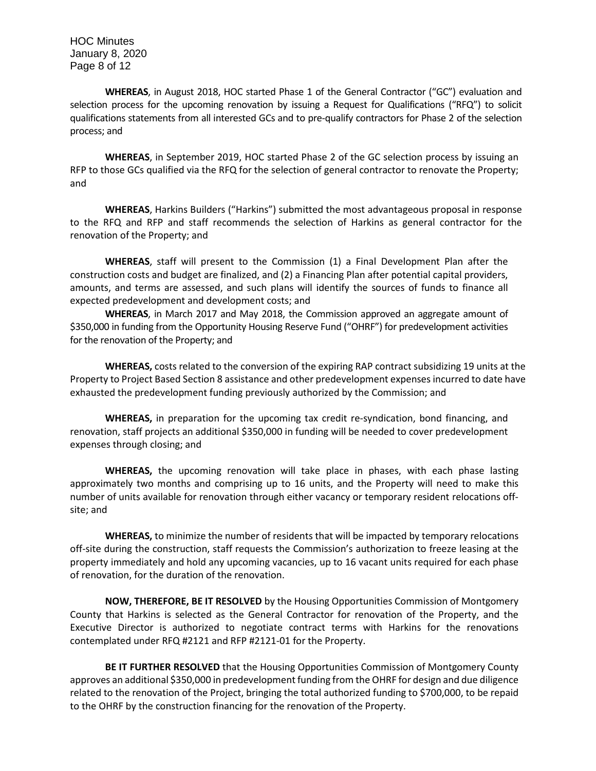HOC Minutes January 8, 2020 Page 8 of 12

**WHEREAS**, in August 2018, HOC started Phase 1 of the General Contractor ("GC") evaluation and selection process for the upcoming renovation by issuing a Request for Qualifications ("RFQ") to solicit qualifications statements from all interested GCs and to pre-qualify contractors for Phase 2 of the selection process; and

**WHEREAS**, in September 2019, HOC started Phase 2 of the GC selection process by issuing an RFP to those GCs qualified via the RFQ for the selection of general contractor to renovate the Property; and

**WHEREAS**, Harkins Builders ("Harkins") submitted the most advantageous proposal in response to the RFQ and RFP and staff recommends the selection of Harkins as general contractor for the renovation of the Property; and

**WHEREAS**, staff will present to the Commission (1) a Final Development Plan after the construction costs and budget are finalized, and (2) a Financing Plan after potential capital providers, amounts, and terms are assessed, and such plans will identify the sources of funds to finance all expected predevelopment and development costs; and

**WHEREAS**, in March 2017 and May 2018, the Commission approved an aggregate amount of \$350,000 in funding from the Opportunity Housing Reserve Fund ("OHRF") for predevelopment activities for the renovation of the Property; and

**WHEREAS,** costs related to the conversion of the expiring RAP contract subsidizing 19 units at the Property to Project Based Section 8 assistance and other predevelopment expenses incurred to date have exhausted the predevelopment funding previously authorized by the Commission; and

**WHEREAS,** in preparation for the upcoming tax credit re-syndication, bond financing, and renovation, staff projects an additional \$350,000 in funding will be needed to cover predevelopment expenses through closing; and

**WHEREAS,** the upcoming renovation will take place in phases, with each phase lasting approximately two months and comprising up to 16 units, and the Property will need to make this number of units available for renovation through either vacancy or temporary resident relocations offsite; and

**WHEREAS,** to minimize the number of residents that will be impacted by temporary relocations off-site during the construction, staff requests the Commission's authorization to freeze leasing at the property immediately and hold any upcoming vacancies, up to 16 vacant units required for each phase of renovation, for the duration of the renovation.

**NOW, THEREFORE, BE IT RESOLVED** by the Housing Opportunities Commission of Montgomery County that Harkins is selected as the General Contractor for renovation of the Property, and the Executive Director is authorized to negotiate contract terms with Harkins for the renovations contemplated under RFQ #2121 and RFP #2121-01 for the Property.

**BE IT FURTHER RESOLVED** that the Housing Opportunities Commission of Montgomery County approves an additional \$350,000 in predevelopment funding from the OHRF for design and due diligence related to the renovation of the Project, bringing the total authorized funding to \$700,000, to be repaid to the OHRF by the construction financing for the renovation of the Property.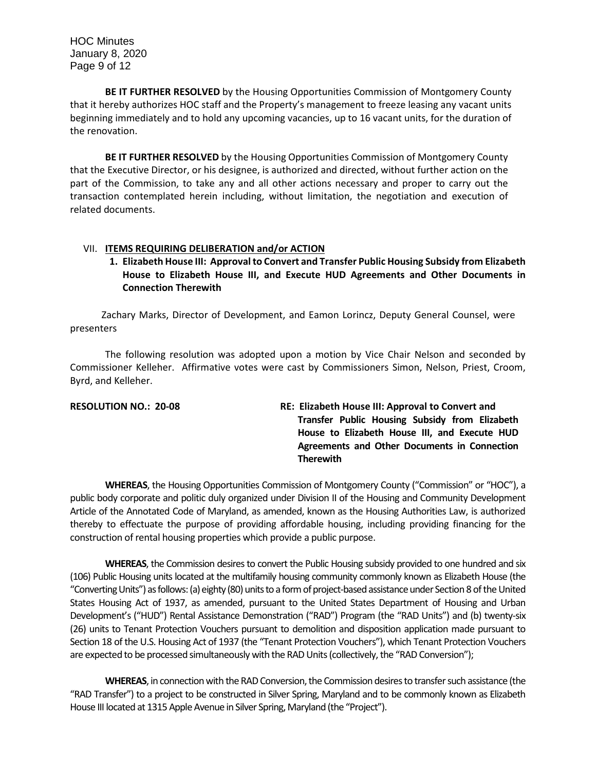**BE IT FURTHER RESOLVED** by the Housing Opportunities Commission of Montgomery County that it hereby authorizes HOC staff and the Property's management to freeze leasing any vacant units beginning immediately and to hold any upcoming vacancies, up to 16 vacant units, for the duration of the renovation.

**BE IT FURTHER RESOLVED** by the Housing Opportunities Commission of Montgomery County that the Executive Director, or his designee, is authorized and directed, without further action on the part of the Commission, to take any and all other actions necessary and proper to carry out the transaction contemplated herein including, without limitation, the negotiation and execution of related documents.

#### VII. **ITEMS REQUIRING DELIBERATION and/or ACTION**

**1. Elizabeth House III: Approval to Convert and Transfer Public Housing Subsidy from Elizabeth House to Elizabeth House III, and Execute HUD Agreements and Other Documents in Connection Therewith**

 Zachary Marks, Director of Development, and Eamon Lorincz, Deputy General Counsel, were presenters

The following resolution was adopted upon a motion by Vice Chair Nelson and seconded by Commissioner Kelleher. Affirmative votes were cast by Commissioners Simon, Nelson, Priest, Croom, Byrd, and Kelleher.

| <b>RESOLUTION NO.: 20-08</b> | RE: Elizabeth House III: Approval to Convert and |
|------------------------------|--------------------------------------------------|
|                              | Transfer Public Housing Subsidy from Elizabeth   |
|                              | House to Elizabeth House III, and Execute HUD    |
|                              | Agreements and Other Documents in Connection     |
|                              | <b>Therewith</b>                                 |
|                              |                                                  |

**WHEREAS**, the Housing Opportunities Commission of Montgomery County ("Commission" or "HOC"), a public body corporate and politic duly organized under Division II of the Housing and Community Development Article of the Annotated Code of Maryland, as amended, known as the Housing Authorities Law, is authorized thereby to effectuate the purpose of providing affordable housing, including providing financing for the construction of rental housing properties which provide a public purpose.

**WHEREAS**, the Commission desires to convert the Public Housing subsidy provided to one hundred and six (106) Public Housing units located at the multifamily housing community commonly known as Elizabeth House (the "Converting Units") as follows: (a) eighty (80) units to a form of project-based assistance under Section 8 of the United States Housing Act of 1937, as amended, pursuant to the United States Department of Housing and Urban Development's ("HUD") Rental Assistance Demonstration ("RAD") Program (the "RAD Units") and (b) twenty-six (26) units to Tenant Protection Vouchers pursuant to demolition and disposition application made pursuant to Section 18 of the U.S. Housing Act of 1937 (the "Tenant Protection Vouchers"), which Tenant Protection Vouchers are expected to be processed simultaneously with the RAD Units (collectively, the "RAD Conversion");

**WHEREAS**, in connection with the RAD Conversion, the Commission desires to transfer such assistance (the "RAD Transfer") to a project to be constructed in Silver Spring, Maryland and to be commonly known as Elizabeth House III located at 1315 Apple Avenue in Silver Spring, Maryland (the "Project").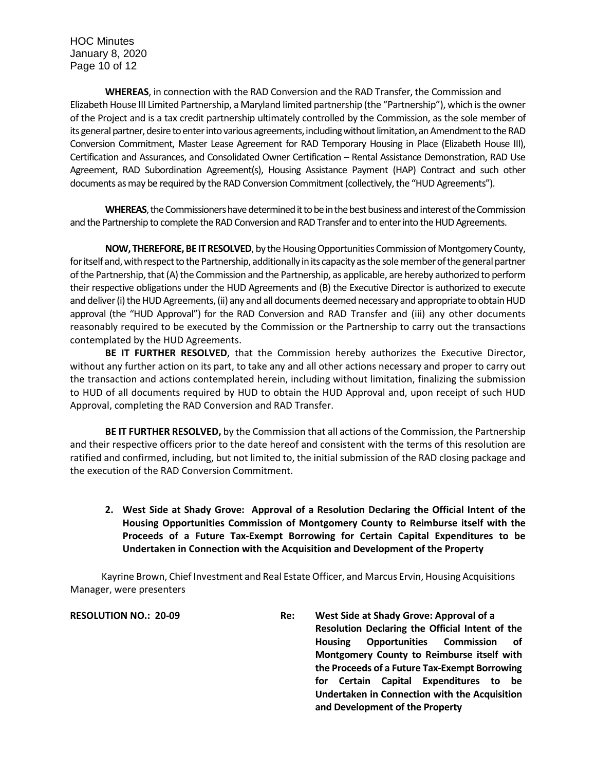HOC Minutes January 8, 2020 Page 10 of 12

**WHEREAS**, in connection with the RAD Conversion and the RAD Transfer, the Commission and Elizabeth House III Limited Partnership, a Maryland limited partnership (the "Partnership"), which is the owner of the Project and is a tax credit partnership ultimately controlled by the Commission, as the sole member of its general partner, desire to enter into various agreements, including without limitation, an Amendment to the RAD Conversion Commitment, Master Lease Agreement for RAD Temporary Housing in Place (Elizabeth House III), Certification and Assurances, and Consolidated Owner Certification – Rental Assistance Demonstration, RAD Use Agreement, RAD Subordination Agreement(s), Housing Assistance Payment (HAP) Contract and such other documents as may be required by the RAD Conversion Commitment (collectively, the "HUD Agreements").

**WHEREAS**, the Commissioners have determined it to be in the best business and interest of the Commission and the Partnership to complete the RAD Conversion and RAD Transfer and to enter into the HUD Agreements.

**NOW, THEREFORE, BE IT RESOLVED**, by the Housing Opportunities Commission of Montgomery County, for itself and, with respect to the Partnership, additionally in its capacity as the sole member of the general partner of the Partnership, that (A) the Commission and the Partnership, as applicable, are hereby authorized to perform their respective obligations under the HUD Agreements and (B) the Executive Director is authorized to execute and deliver (i) the HUD Agreements, (ii) any and all documents deemed necessary and appropriate to obtain HUD approval (the "HUD Approval") for the RAD Conversion and RAD Transfer and (iii) any other documents reasonably required to be executed by the Commission or the Partnership to carry out the transactions contemplated by the HUD Agreements.

**BE IT FURTHER RESOLVED**, that the Commission hereby authorizes the Executive Director, without any further action on its part, to take any and all other actions necessary and proper to carry out the transaction and actions contemplated herein, including without limitation, finalizing the submission to HUD of all documents required by HUD to obtain the HUD Approval and, upon receipt of such HUD Approval, completing the RAD Conversion and RAD Transfer.

**BE IT FURTHER RESOLVED,** by the Commission that all actions of the Commission, the Partnership and their respective officers prior to the date hereof and consistent with the terms of this resolution are ratified and confirmed, including, but not limited to, the initial submission of the RAD closing package and the execution of the RAD Conversion Commitment.

**2. West Side at Shady Grove: Approval of a Resolution Declaring the Official Intent of the Housing Opportunities Commission of Montgomery County to Reimburse itself with the Proceeds of a Future Tax-Exempt Borrowing for Certain Capital Expenditures to be Undertaken in Connection with the Acquisition and Development of the Property**

 Kayrine Brown, Chief Investment and Real Estate Officer, and Marcus Ervin, Housing Acquisitions Manager, were presenters

**RESOLUTION NO.: 20-09 Re: West Side at Shady Grove: Approval of a Resolution Declaring the Official Intent of the Housing Opportunities Commission of Montgomery County to Reimburse itself with the Proceeds of a Future Tax-Exempt Borrowing for Certain Capital Expenditures to be Undertaken in Connection with the Acquisition and Development of the Property**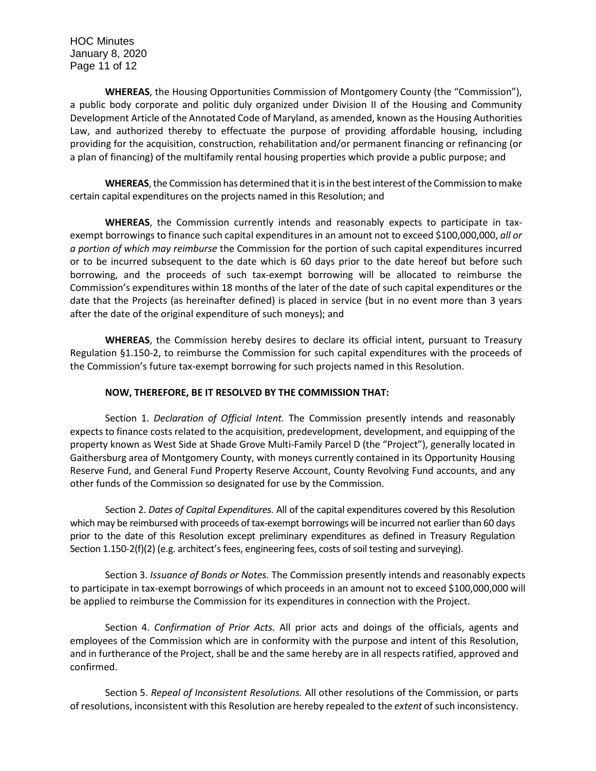HOC Minutes January 8, 2020 Page 11 of 12

**WHEREAS**, the Housing Opportunities Commission of Montgomery County (the "Commission"), a public body corporate and politic duly organized under Division II of the Housing and Community Development Article of the Annotated Code of Maryland, as amended, known as the Housing Authorities Law, and authorized thereby to effectuate the purpose of providing affordable housing, including providing for the acquisition, construction, rehabilitation and/or permanent financing or refinancing (or a plan of financing) of the multifamily rental housing properties which provide a public purpose; and

**WHEREAS**, the Commission has determined that it is in the best interest of the Commission to make certain capital expenditures on the projects named in this Resolution; and

**WHEREAS**, the Commission currently intends and reasonably expects to participate in taxexempt borrowings to finance such capital expenditures in an amount not to exceed \$100,000,000, *all or a portion of which may reimburse* the Commission for the portion of such capital expenditures incurred or to be incurred subsequent to the date which is 60 days prior to the date hereof but before such borrowing, and the proceeds of such tax-exempt borrowing will be allocated to reimburse the Commission's expenditures within 18 months of the later of the date of such capital expenditures or the date that the Projects (as hereinafter defined) is placed in service (but in no event more than 3 years after the date of the original expenditure of such moneys); and

**WHEREAS**, the Commission hereby desires to declare its official intent, pursuant to Treasury Regulation §1.150-2, to reimburse the Commission for such capital expenditures with the proceeds of the Commission's future tax-exempt borrowing for such projects named in this Resolution.

#### **NOW, THEREFORE, BE IT RESOLVED BY THE COMMISSION THAT:**

Section 1. *Declaration of Official Intent.* The Commission presently intends and reasonably expects to finance costs related to the acquisition, predevelopment, development, and equipping of the property known as West Side at Shade Grove Multi-Family Parcel D (the "Project"), generally located in Gaithersburg area of Montgomery County, with moneys currently contained in its Opportunity Housing Reserve Fund, and General Fund Property Reserve Account, County Revolving Fund accounts, and any other funds of the Commission so designated for use by the Commission.

Section 2. *Dates of Capital Expenditures.* All of the capital expenditures covered by this Resolution which may be reimbursed with proceeds of tax-exempt borrowings will be incurred not earlier than 60 days prior to the date of this Resolution except preliminary expenditures as defined in Treasury Regulation Section 1.150-2(f)(2) (e.g. architect's fees, engineering fees, costs of soil testing and surveying).

Section 3. *Issuance of Bonds or Notes.* The Commission presently intends and reasonably expects to participate in tax-exempt borrowings of which proceeds in an amount not to exceed \$100,000,000 will be applied to reimburse the Commission for its expenditures in connection with the Project.

Section 4. *Confirmation of Prior Acts.* All prior acts and doings of the officials, agents and employees of the Commission which are in conformity with the purpose and intent of this Resolution, and in furtherance of the Project, shall be and the same hereby are in all respects ratified, approved and confirmed.

Section 5. *Repeal of Inconsistent Resolutions.* All other resolutions of the Commission, or parts of resolutions, inconsistent with this Resolution are hereby repealed to the *extent* of such inconsistency.